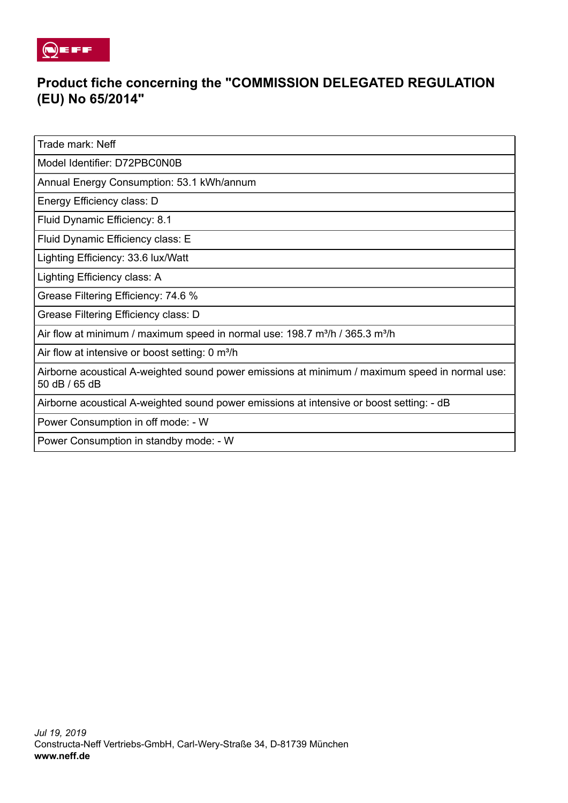

## **Product fiche concerning the "COMMISSION DELEGATED REGULATION (EU) No 65/2014"**

Trade mark: Neff

Model Identifier: D72PBC0N0B

Annual Energy Consumption: 53.1 kWh/annum

Energy Efficiency class: D

Fluid Dynamic Efficiency: 8.1

Fluid Dynamic Efficiency class: E

Lighting Efficiency: 33.6 lux/Watt

Lighting Efficiency class: A

Grease Filtering Efficiency: 74.6 %

Grease Filtering Efficiency class: D

Air flow at minimum / maximum speed in normal use: 198.7 m<sup>3</sup>/h / 365.3 m<sup>3</sup>/h

Air flow at intensive or boost setting: 0 m<sup>3</sup>/h

Airborne acoustical A-weighted sound power emissions at minimum / maximum speed in normal use: 50 dB / 65 dB

Airborne acoustical A-weighted sound power emissions at intensive or boost setting: - dB

Power Consumption in off mode: - W

Power Consumption in standby mode: - W